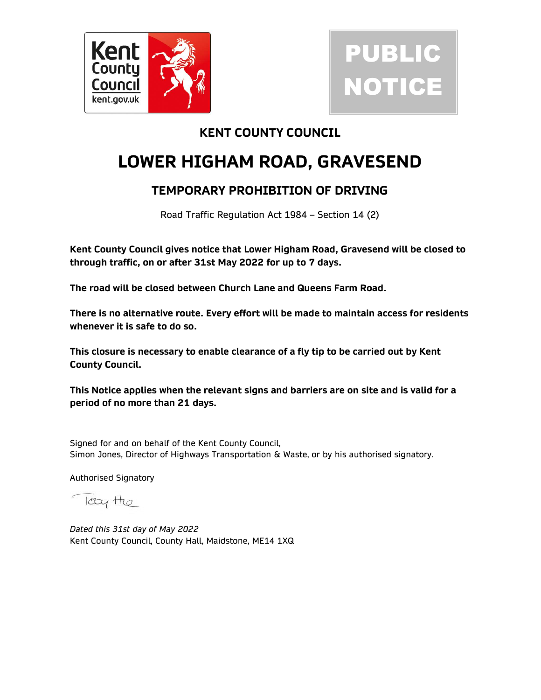

# PUBLIC NOTICE

### KENT COUNTY COUNCIL

# LOWER HIGHAM ROAD, GRAVESEND

## TEMPORARY PROHIBITION OF DRIVING

Road Traffic Regulation Act 1984 – Section 14 (2)

Kent County Council gives notice that Lower Higham Road, Gravesend will be closed to through traffic, on or after 31st May 2022 for up to 7 days.

The road will be closed between Church Lane and Queens Farm Road.

There is no alternative route. Every effort will be made to maintain access for residents whenever it is safe to do so.

This closure is necessary to enable clearance of a fly tip to be carried out by Kent County Council.

This Notice applies when the relevant signs and barriers are on site and is valid for a period of no more than 21 days.

Signed for and on behalf of the Kent County Council, Simon Jones, Director of Highways Transportation & Waste, or by his authorised signatory.

Authorised Signatory

Icty the

Dated this 31st day of May 2022 Kent County Council, County Hall, Maidstone, ME14 1XQ